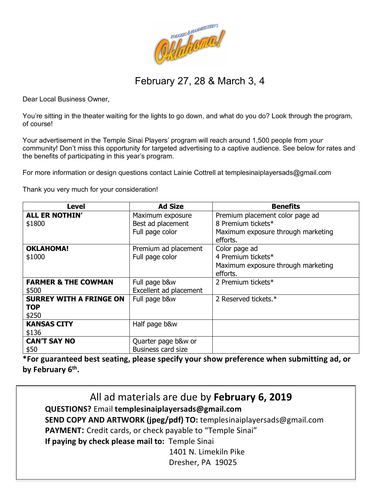

February 27, 28 & March 3, 4

Dear Local Business Owner,

You're sitting in the theater waiting for the lights to go down, and what do you do? Look through the program, of course!

Your advertisement in the Temple Sinai Players' program will reach around 1,500 people from *your* community! Don't miss this opportunity for targeted advertising to a captive audience. See below for rates and the benefits of participating in this year's program.

For more information or design questions contact Lainie Cottrell at templesinaiplayersads@gmail.com

Thank you very much for your consideration!

| Level                          | <b>Ad Size</b>            | <b>Benefits</b>                    |
|--------------------------------|---------------------------|------------------------------------|
| <b>ALL ER NOTHIN'</b>          | Maximum exposure          | Premium placement color page ad    |
| \$1800                         | Best ad placement         | 8 Premium tickets*                 |
|                                | Full page color           | Maximum exposure through marketing |
|                                |                           | efforts.                           |
| <b>OKLAHOMA!</b>               | Premium ad placement      | Color page ad                      |
| \$1000                         | Full page color           | 4 Premium tickets*                 |
|                                |                           | Maximum exposure through marketing |
|                                |                           | efforts.                           |
| <b>FARMER &amp; THE COWMAN</b> | Full page b&w             | 2 Premium tickets*                 |
| \$500                          | Excellent ad placement    |                                    |
| <b>SURREY WITH A FRINGE ON</b> | Full page b&w             | 2 Reserved tickets.*               |
| <b>TOP</b>                     |                           |                                    |
| \$250                          |                           |                                    |
| <b>KANSAS CITY</b>             | Half page b&w             |                                    |
| \$136                          |                           |                                    |
| <b>CAN'T SAY NO</b>            | Quarter page b&w or       |                                    |
| \$50                           | <b>Business card size</b> |                                    |

**\*For guaranteed best seating, please specify your show preference when submitting ad, or by February 6th.**

All ad materials are due by **February 6, 2019 QUESTIONS?** Email **templesinaiplayersads@gmail.com SEND COPY AND ARTWORK (jpeg/pdf) TO:** templesinaiplayersads@gmail.com **PAYMENT:** Credit cards, or check payable to "Temple Sinai" **If paying by check please mail to:** Temple Sinai 1401 N. Limekiln Pike

Dresher, PA 19025